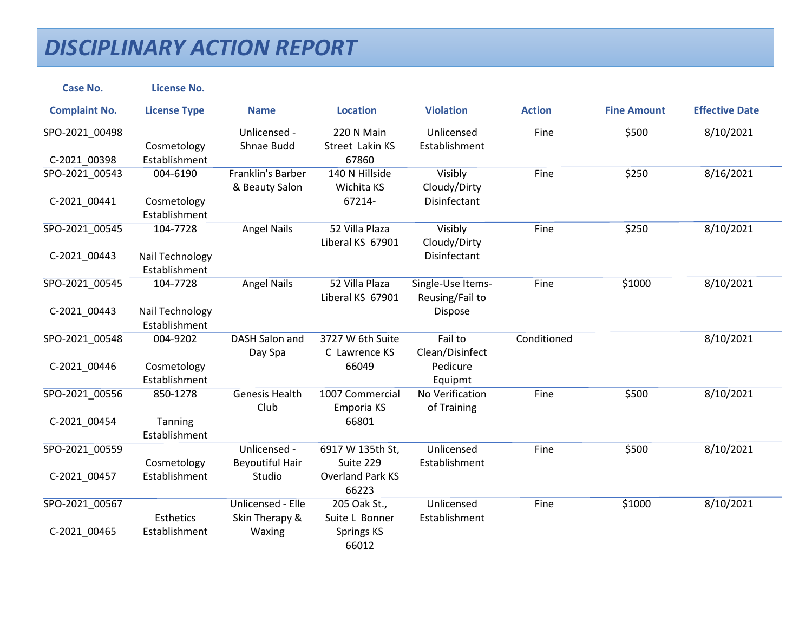| <b>Case No.</b>                | <b>License No.</b>                           |                                                  |                                                                   |                                                   |               |                    |                       |
|--------------------------------|----------------------------------------------|--------------------------------------------------|-------------------------------------------------------------------|---------------------------------------------------|---------------|--------------------|-----------------------|
| <b>Complaint No.</b>           | <b>License Type</b>                          | <b>Name</b>                                      | <b>Location</b>                                                   | <b>Violation</b>                                  | <b>Action</b> | <b>Fine Amount</b> | <b>Effective Date</b> |
| SPO-2021_00498<br>C-2021_00398 | Cosmetology<br>Establishment                 | Unlicensed -<br>Shnae Budd                       | 220 N Main<br>Street Lakin KS<br>67860                            | Unlicensed<br>Establishment                       | Fine          | \$500              | 8/10/2021             |
| SPO-2021_00543<br>C-2021_00441 | 004-6190<br>Cosmetology<br>Establishment     | Franklin's Barber<br>& Beauty Salon              | 140 N Hillside<br>Wichita KS<br>67214-                            | Visibly<br>Cloudy/Dirty<br>Disinfectant           | Fine          | \$250              | 8/16/2021             |
| SPO-2021 00545<br>C-2021_00443 | 104-7728<br>Nail Technology<br>Establishment | <b>Angel Nails</b>                               | 52 Villa Plaza<br>Liberal KS 67901                                | Visibly<br>Cloudy/Dirty<br>Disinfectant           | Fine          | \$250              | 8/10/2021             |
| SPO-2021_00545<br>C-2021_00443 | 104-7728<br>Nail Technology<br>Establishment | <b>Angel Nails</b>                               | 52 Villa Plaza<br>Liberal KS 67901                                | Single-Use Items-<br>Reusing/Fail to<br>Dispose   | Fine          | \$1000             | 8/10/2021             |
| SPO-2021 00548<br>C-2021_00446 | 004-9202<br>Cosmetology<br>Establishment     | <b>DASH Salon and</b><br>Day Spa                 | 3727 W 6th Suite<br>C Lawrence KS<br>66049                        | Fail to<br>Clean/Disinfect<br>Pedicure<br>Equipmt | Conditioned   |                    | 8/10/2021             |
| SPO-2021 00556<br>C-2021_00454 | 850-1278<br>Tanning<br>Establishment         | <b>Genesis Health</b><br>Club                    | 1007 Commercial<br>Emporia KS<br>66801                            | No Verification<br>of Training                    | Fine          | \$500              | 8/10/2021             |
| SPO-2021 00559<br>C-2021_00457 | Cosmetology<br>Establishment                 | Unlicensed -<br><b>Beyoutiful Hair</b><br>Studio | 6917 W 135th St,<br>Suite 229<br><b>Overland Park KS</b><br>66223 | Unlicensed<br>Establishment                       | Fine          | \$500              | 8/10/2021             |
| SPO-2021_00567<br>C-2021_00465 | Esthetics<br>Establishment                   | Unlicensed - Elle<br>Skin Therapy &<br>Waxing    | 205 Oak St.,<br>Suite L Bonner<br><b>Springs KS</b><br>66012      | Unlicensed<br>Establishment                       | Fine          | \$1000             | 8/10/2021             |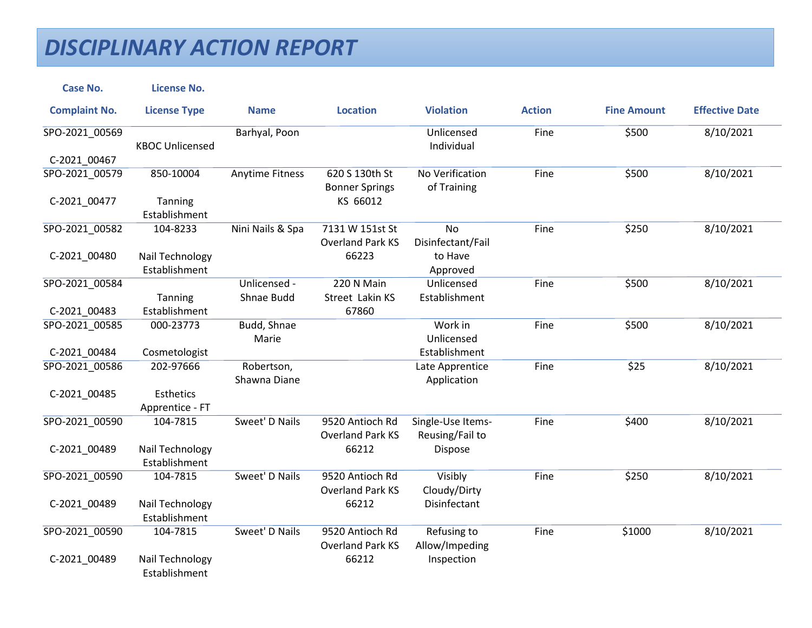| <b>Case No.</b>      | <b>License No.</b>               |                        |                                            |                                |               |                    |                       |
|----------------------|----------------------------------|------------------------|--------------------------------------------|--------------------------------|---------------|--------------------|-----------------------|
| <b>Complaint No.</b> | <b>License Type</b>              | <b>Name</b>            | <b>Location</b>                            | <b>Violation</b>               | <b>Action</b> | <b>Fine Amount</b> | <b>Effective Date</b> |
| SPO-2021_00569       | <b>KBOC Unlicensed</b>           | Barhyal, Poon          |                                            | Unlicensed<br>Individual       | Fine          | \$500              | 8/10/2021             |
| C-2021 00467         |                                  |                        |                                            |                                |               |                    |                       |
| SPO-2021_00579       | 850-10004                        | <b>Anytime Fitness</b> | 620 S 130th St<br><b>Bonner Springs</b>    | No Verification<br>of Training | Fine          | \$500              | 8/10/2021             |
| C-2021_00477         | Tanning                          |                        | KS 66012                                   |                                |               |                    |                       |
|                      | Establishment                    |                        |                                            |                                |               |                    |                       |
| SPO-2021_00582       | 104-8233                         | Nini Nails & Spa       | 7131 W 151st St<br><b>Overland Park KS</b> | No<br>Disinfectant/Fail        | Fine          | \$250              | 8/10/2021             |
| C-2021_00480         | Nail Technology                  |                        | 66223                                      | to Have                        |               |                    |                       |
|                      | Establishment                    |                        |                                            | Approved                       |               |                    |                       |
| SPO-2021_00584       |                                  | Unlicensed -           | 220 N Main                                 | Unlicensed                     | Fine          | \$500              | 8/10/2021             |
|                      | Tanning                          | Shnae Budd             | Street Lakin KS                            | Establishment                  |               |                    |                       |
| C-2021_00483         | Establishment                    |                        | 67860                                      |                                |               |                    |                       |
| SPO-2021 00585       | 000-23773                        | Budd, Shnae            |                                            | Work in                        | Fine          | \$500              | 8/10/2021             |
|                      |                                  | Marie                  |                                            | Unlicensed                     |               |                    |                       |
| C-2021 00484         | Cosmetologist                    |                        |                                            | Establishment                  |               |                    |                       |
| SPO-2021 00586       | 202-97666                        | Robertson,             |                                            | Late Apprentice                | Fine          | \$25               | 8/10/2021             |
|                      |                                  | Shawna Diane           |                                            | Application                    |               |                    |                       |
| C-2021_00485         | Esthetics<br>Apprentice - FT     |                        |                                            |                                |               |                    |                       |
| SPO-2021_00590       | 104-7815                         | Sweet' D Nails         | 9520 Antioch Rd                            | Single-Use Items-              | Fine          | \$400              | 8/10/2021             |
|                      |                                  |                        | <b>Overland Park KS</b>                    | Reusing/Fail to                |               |                    |                       |
| C-2021_00489         | Nail Technology                  |                        | 66212                                      | Dispose                        |               |                    |                       |
|                      | Establishment                    |                        |                                            |                                |               |                    |                       |
| SPO-2021_00590       | 104-7815                         | Sweet' D Nails         | 9520 Antioch Rd                            | Visibly                        | Fine          | \$250              | 8/10/2021             |
|                      |                                  |                        | <b>Overland Park KS</b>                    | Cloudy/Dirty                   |               |                    |                       |
| C-2021_00489         | Nail Technology                  |                        | 66212                                      | Disinfectant                   |               |                    |                       |
|                      | Establishment                    |                        |                                            |                                |               |                    |                       |
| SPO-2021_00590       | 104-7815                         | Sweet' D Nails         | 9520 Antioch Rd                            | Refusing to                    | Fine          | \$1000             | 8/10/2021             |
|                      |                                  |                        | <b>Overland Park KS</b>                    | Allow/Impeding                 |               |                    |                       |
| C-2021_00489         | Nail Technology<br>Establishment |                        | 66212                                      | Inspection                     |               |                    |                       |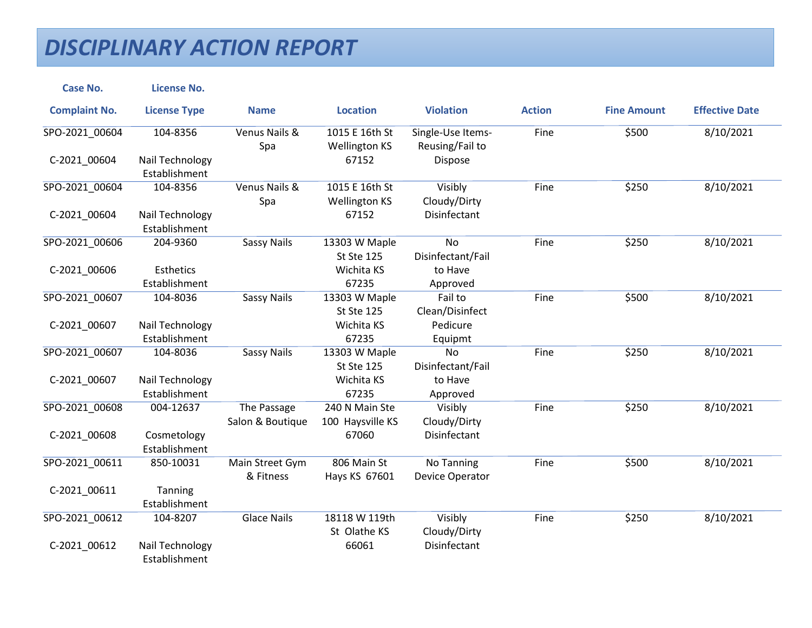| <b>Case No.</b>      | <b>License No.</b>                |                                 |                                        |                                      |               |                    |                       |
|----------------------|-----------------------------------|---------------------------------|----------------------------------------|--------------------------------------|---------------|--------------------|-----------------------|
| <b>Complaint No.</b> | <b>License Type</b>               | <b>Name</b>                     | <b>Location</b>                        | <b>Violation</b>                     | <b>Action</b> | <b>Fine Amount</b> | <b>Effective Date</b> |
| SPO-2021_00604       | 104-8356                          | Venus Nails &<br>Spa            | 1015 E 16th St<br><b>Wellington KS</b> | Single-Use Items-<br>Reusing/Fail to | Fine          | \$500              | 8/10/2021             |
| C-2021 00604         | Nail Technology<br>Establishment  |                                 | 67152                                  | Dispose                              |               |                    |                       |
| SPO-2021_00604       | 104-8356                          | Venus Nails &<br>Spa            | 1015 E 16th St<br><b>Wellington KS</b> | Visibly<br>Cloudy/Dirty              | Fine          | \$250              | 8/10/2021             |
| C-2021_00604         | Nail Technology<br>Establishment  |                                 | 67152                                  | Disinfectant                         |               |                    |                       |
| SPO-2021_00606       | 204-9360                          | <b>Sassy Nails</b>              | 13303 W Maple<br><b>St Ste 125</b>     | <b>No</b><br>Disinfectant/Fail       | Fine          | \$250              | 8/10/2021             |
| C-2021_00606         | <b>Esthetics</b><br>Establishment |                                 | Wichita KS<br>67235                    | to Have<br>Approved                  |               |                    |                       |
| SPO-2021 00607       | 104-8036                          | <b>Sassy Nails</b>              | 13303 W Maple<br><b>St Ste 125</b>     | Fail to<br>Clean/Disinfect           | Fine          | \$500              | 8/10/2021             |
| C-2021_00607         | Nail Technology<br>Establishment  |                                 | Wichita KS<br>67235                    | Pedicure<br>Equipmt                  |               |                    |                       |
| SPO-2021_00607       | 104-8036                          | <b>Sassy Nails</b>              | 13303 W Maple<br><b>St Ste 125</b>     | No<br>Disinfectant/Fail              | Fine          | \$250              | 8/10/2021             |
| C-2021_00607         | Nail Technology<br>Establishment  |                                 | Wichita KS<br>67235                    | to Have<br>Approved                  |               |                    |                       |
| SPO-2021 00608       | 004-12637                         | The Passage<br>Salon & Boutique | 240 N Main Ste<br>100 Haysville KS     | Visibly<br>Cloudy/Dirty              | Fine          | \$250              | 8/10/2021             |
| C-2021_00608         | Cosmetology<br>Establishment      |                                 | 67060                                  | Disinfectant                         |               |                    |                       |
| SPO-2021 00611       | 850-10031                         | Main Street Gym<br>& Fitness    | 806 Main St<br>Hays KS 67601           | No Tanning<br>Device Operator        | Fine          | \$500              | 8/10/2021             |
| C-2021_00611         | Tanning<br>Establishment          |                                 |                                        |                                      |               |                    |                       |
| SPO-2021 00612       | 104-8207                          | <b>Glace Nails</b>              | 18118 W 119th<br>St Olathe KS          | Visibly<br>Cloudy/Dirty              | Fine          | \$250              | 8/10/2021             |
| C-2021_00612         | Nail Technology<br>Establishment  |                                 | 66061                                  | Disinfectant                         |               |                    |                       |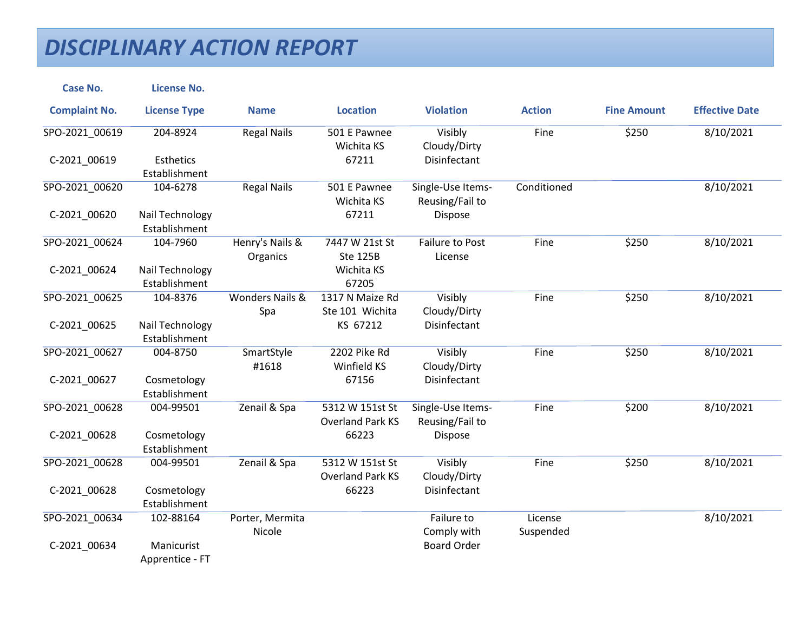| <b>Case No.</b>      | <b>License No.</b>               |                                   |                                            |                                      |                      |                    |                       |
|----------------------|----------------------------------|-----------------------------------|--------------------------------------------|--------------------------------------|----------------------|--------------------|-----------------------|
| <b>Complaint No.</b> | <b>License Type</b>              | <b>Name</b>                       | <b>Location</b>                            | <b>Violation</b>                     | <b>Action</b>        | <b>Fine Amount</b> | <b>Effective Date</b> |
| SPO-2021_00619       | 204-8924                         | <b>Regal Nails</b>                | 501 E Pawnee<br>Wichita KS                 | Visibly<br>Cloudy/Dirty              | Fine                 | \$250              | 8/10/2021             |
| C-2021 00619         | Esthetics<br>Establishment       |                                   | 67211                                      | Disinfectant                         |                      |                    |                       |
| SPO-2021_00620       | 104-6278                         | <b>Regal Nails</b>                | 501 E Pawnee<br>Wichita KS                 | Single-Use Items-<br>Reusing/Fail to | Conditioned          |                    | 8/10/2021             |
| C-2021_00620         | Nail Technology<br>Establishment |                                   | 67211                                      | Dispose                              |                      |                    |                       |
| SPO-2021_00624       | 104-7960                         | Henry's Nails &<br>Organics       | 7447 W 21st St<br><b>Ste 125B</b>          | <b>Failure to Post</b><br>License    | Fine                 | \$250              | 8/10/2021             |
| C-2021_00624         | Nail Technology<br>Establishment |                                   | Wichita KS<br>67205                        |                                      |                      |                    |                       |
| SPO-2021_00625       | 104-8376                         | <b>Wonders Nails &amp;</b><br>Spa | 1317 N Maize Rd<br>Ste 101 Wichita         | Visibly<br>Cloudy/Dirty              | Fine                 | \$250              | 8/10/2021             |
| C-2021_00625         | Nail Technology<br>Establishment |                                   | KS 67212                                   | Disinfectant                         |                      |                    |                       |
| SPO-2021_00627       | 004-8750                         | SmartStyle<br>#1618               | 2202 Pike Rd<br>Winfield KS                | Visibly<br>Cloudy/Dirty              | Fine                 | \$250              | 8/10/2021             |
| C-2021 00627         | Cosmetology<br>Establishment     |                                   | 67156                                      | Disinfectant                         |                      |                    |                       |
| SPO-2021_00628       | 004-99501                        | Zenail & Spa                      | 5312 W 151st St<br><b>Overland Park KS</b> | Single-Use Items-<br>Reusing/Fail to | Fine                 | \$200              | 8/10/2021             |
| C-2021_00628         | Cosmetology<br>Establishment     |                                   | 66223                                      | Dispose                              |                      |                    |                       |
| SPO-2021_00628       | 004-99501                        | Zenail & Spa                      | 5312 W 151st St<br><b>Overland Park KS</b> | Visibly<br>Cloudy/Dirty              | Fine                 | \$250              | 8/10/2021             |
| C-2021 00628         | Cosmetology<br>Establishment     |                                   | 66223                                      | Disinfectant                         |                      |                    |                       |
| SPO-2021_00634       | 102-88164                        | Porter, Mermita<br>Nicole         |                                            | Failure to<br>Comply with            | License<br>Suspended |                    | 8/10/2021             |
| C-2021_00634         | Manicurist<br>Apprentice - FT    |                                   |                                            | <b>Board Order</b>                   |                      |                    |                       |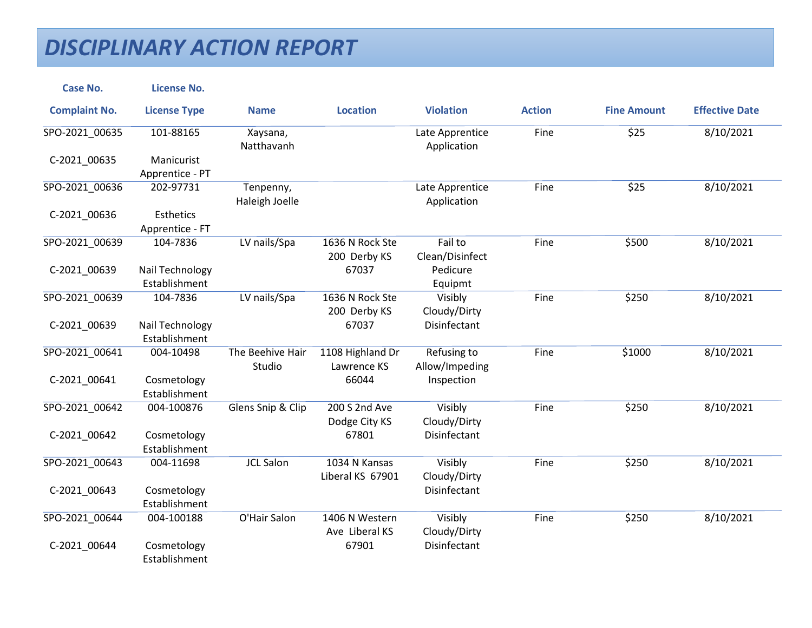| <b>Case No.</b>      | <b>License No.</b>               |                             |                                   |                                |               |                    |                       |
|----------------------|----------------------------------|-----------------------------|-----------------------------------|--------------------------------|---------------|--------------------|-----------------------|
| <b>Complaint No.</b> | <b>License Type</b>              | <b>Name</b>                 | <b>Location</b>                   | <b>Violation</b>               | <b>Action</b> | <b>Fine Amount</b> | <b>Effective Date</b> |
| SPO-2021_00635       | 101-88165                        | Xaysana,<br>Natthavanh      |                                   | Late Apprentice<br>Application | Fine          | \$25               | 8/10/2021             |
| C-2021 00635         | Manicurist<br>Apprentice - PT    |                             |                                   |                                |               |                    |                       |
| SPO-2021_00636       | 202-97731                        | Tenpenny,<br>Haleigh Joelle |                                   | Late Apprentice<br>Application | Fine          | \$25               | 8/10/2021             |
| C-2021_00636         | Esthetics<br>Apprentice - FT     |                             |                                   |                                |               |                    |                       |
| SPO-2021_00639       | 104-7836                         | LV nails/Spa                | 1636 N Rock Ste<br>200 Derby KS   | Fail to<br>Clean/Disinfect     | Fine          | \$500              | 8/10/2021             |
| C-2021_00639         | Nail Technology<br>Establishment |                             | 67037                             | Pedicure<br>Equipmt            |               |                    |                       |
| SPO-2021 00639       | 104-7836                         | LV nails/Spa                | 1636 N Rock Ste<br>200 Derby KS   | Visibly<br>Cloudy/Dirty        | Fine          | \$250              | 8/10/2021             |
| C-2021_00639         | Nail Technology<br>Establishment |                             | 67037                             | Disinfectant                   |               |                    |                       |
| SPO-2021 00641       | 004-10498                        | The Beehive Hair<br>Studio  | 1108 Highland Dr<br>Lawrence KS   | Refusing to<br>Allow/Impeding  | Fine          | \$1000             | 8/10/2021             |
| C-2021_00641         | Cosmetology<br>Establishment     |                             | 66044                             | Inspection                     |               |                    |                       |
| SPO-2021 00642       | 004-100876                       | Glens Snip & Clip           | 200 S 2nd Ave<br>Dodge City KS    | Visibly<br>Cloudy/Dirty        | Fine          | \$250              | 8/10/2021             |
| C-2021_00642         | Cosmetology<br>Establishment     |                             | 67801                             | Disinfectant                   |               |                    |                       |
| SPO-2021 00643       | 004-11698                        | <b>JCL Salon</b>            | 1034 N Kansas<br>Liberal KS 67901 | Visibly<br>Cloudy/Dirty        | Fine          | \$250              | 8/10/2021             |
| C-2021_00643         | Cosmetology<br>Establishment     |                             |                                   | Disinfectant                   |               |                    |                       |
| SPO-2021 00644       | 004-100188                       | O'Hair Salon                | 1406 N Western<br>Ave Liberal KS  | Visibly<br>Cloudy/Dirty        | Fine          | \$250              | 8/10/2021             |
| C-2021_00644         | Cosmetology<br>Establishment     |                             | 67901                             | Disinfectant                   |               |                    |                       |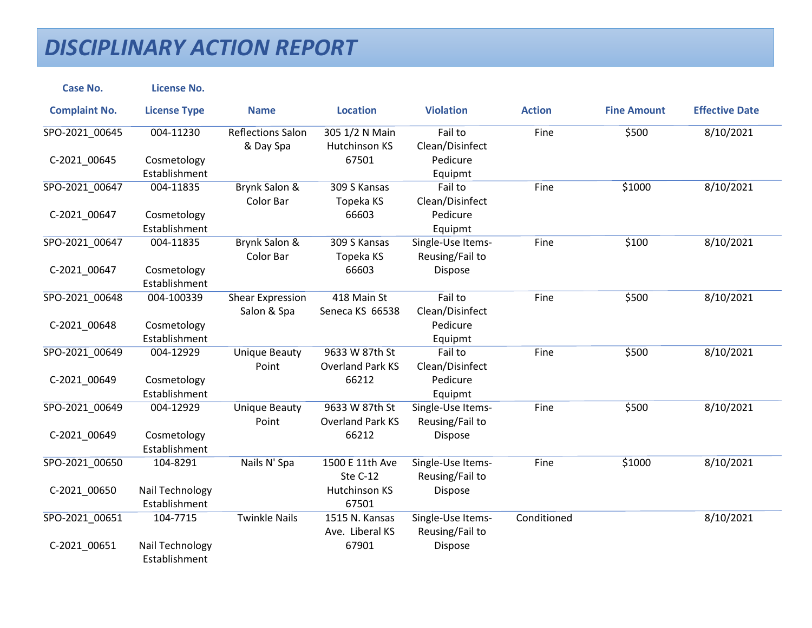| <b>Case No.</b>      | <b>License No.</b>               |                                        |                                           |                                      |               |                    |                       |
|----------------------|----------------------------------|----------------------------------------|-------------------------------------------|--------------------------------------|---------------|--------------------|-----------------------|
| <b>Complaint No.</b> | <b>License Type</b>              | <b>Name</b>                            | <b>Location</b>                           | <b>Violation</b>                     | <b>Action</b> | <b>Fine Amount</b> | <b>Effective Date</b> |
| SPO-2021_00645       | 004-11230                        | <b>Reflections Salon</b><br>& Day Spa  | 305 1/2 N Main<br>Hutchinson KS           | Fail to<br>Clean/Disinfect           | Fine          | \$500              | 8/10/2021             |
| C-2021 00645         | Cosmetology<br>Establishment     |                                        | 67501                                     | Pedicure<br>Equipmt                  |               |                    |                       |
| SPO-2021_00647       | 004-11835                        | Brynk Salon &<br>Color Bar             | 309 S Kansas<br>Topeka KS                 | Fail to<br>Clean/Disinfect           | Fine          | \$1000             | 8/10/2021             |
| C-2021_00647         | Cosmetology<br>Establishment     |                                        | 66603                                     | Pedicure<br>Equipmt                  |               |                    |                       |
| SPO-2021_00647       | 004-11835                        | Brynk Salon &<br>Color Bar             | 309 S Kansas<br>Topeka KS                 | Single-Use Items-<br>Reusing/Fail to | Fine          | \$100              | 8/10/2021             |
| C-2021_00647         | Cosmetology<br>Establishment     |                                        | 66603                                     | Dispose                              |               |                    |                       |
| SPO-2021 00648       | 004-100339                       | <b>Shear Expression</b><br>Salon & Spa | 418 Main St<br>Seneca KS 66538            | Fail to<br>Clean/Disinfect           | Fine          | \$500              | 8/10/2021             |
| C-2021_00648         | Cosmetology<br>Establishment     |                                        |                                           | Pedicure<br>Equipmt                  |               |                    |                       |
| SPO-2021 00649       | 004-12929                        | <b>Unique Beauty</b><br>Point          | 9633 W 87th St<br><b>Overland Park KS</b> | Fail to<br>Clean/Disinfect           | Fine          | \$500              | 8/10/2021             |
| C-2021_00649         | Cosmetology<br>Establishment     |                                        | 66212                                     | Pedicure<br>Equipmt                  |               |                    |                       |
| SPO-2021 00649       | 004-12929                        | <b>Unique Beauty</b><br>Point          | 9633 W 87th St<br><b>Overland Park KS</b> | Single-Use Items-<br>Reusing/Fail to | Fine          | \$500              | 8/10/2021             |
| C-2021_00649         | Cosmetology<br>Establishment     |                                        | 66212                                     | Dispose                              |               |                    |                       |
| SPO-2021 00650       | 104-8291                         | Nails N' Spa                           | 1500 E 11th Ave<br>Ste C-12               | Single-Use Items-<br>Reusing/Fail to | Fine          | \$1000             | 8/10/2021             |
| C-2021_00650         | Nail Technology<br>Establishment |                                        | Hutchinson KS<br>67501                    | Dispose                              |               |                    |                       |
| SPO-2021 00651       | 104-7715                         | <b>Twinkle Nails</b>                   | 1515 N. Kansas<br>Ave. Liberal KS         | Single-Use Items-<br>Reusing/Fail to | Conditioned   |                    | 8/10/2021             |
| C-2021_00651         | Nail Technology<br>Establishment |                                        | 67901                                     | Dispose                              |               |                    |                       |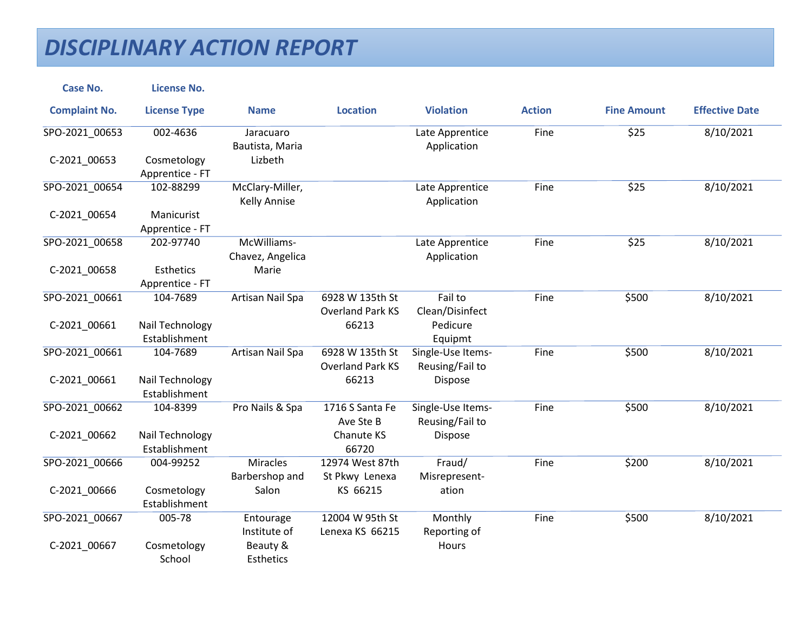| <b>Case No.</b>      | <b>License No.</b>                  |                                        |                                            |                                      |               |                    |                       |
|----------------------|-------------------------------------|----------------------------------------|--------------------------------------------|--------------------------------------|---------------|--------------------|-----------------------|
| <b>Complaint No.</b> | <b>License Type</b>                 | <b>Name</b>                            | <b>Location</b>                            | <b>Violation</b>                     | <b>Action</b> | <b>Fine Amount</b> | <b>Effective Date</b> |
| SPO-2021_00653       | 002-4636                            | Jaracuaro<br>Bautista, Maria           |                                            | Late Apprentice<br>Application       | Fine          | \$25               | 8/10/2021             |
| C-2021 00653         | Cosmetology<br>Apprentice - FT      | Lizbeth                                |                                            |                                      |               |                    |                       |
| SPO-2021_00654       | 102-88299                           | McClary-Miller,<br><b>Kelly Annise</b> |                                            | Late Apprentice<br>Application       | Fine          | \$25               | 8/10/2021             |
| C-2021_00654         | Manicurist<br>Apprentice - FT       |                                        |                                            |                                      |               |                    |                       |
| SPO-2021_00658       | 202-97740                           | McWilliams-<br>Chavez, Angelica        |                                            | Late Apprentice<br>Application       | Fine          | \$25               | 8/10/2021             |
| C-2021_00658         | <b>Esthetics</b><br>Apprentice - FT | Marie                                  |                                            |                                      |               |                    |                       |
| SPO-2021 00661       | 104-7689                            | Artisan Nail Spa                       | 6928 W 135th St<br><b>Overland Park KS</b> | Fail to<br>Clean/Disinfect           | Fine          | \$500              | 8/10/2021             |
| C-2021_00661         | Nail Technology<br>Establishment    |                                        | 66213                                      | Pedicure<br>Equipmt                  |               |                    |                       |
| SPO-2021_00661       | 104-7689                            | Artisan Nail Spa                       | 6928 W 135th St<br><b>Overland Park KS</b> | Single-Use Items-<br>Reusing/Fail to | Fine          | \$500              | 8/10/2021             |
| C-2021_00661         | Nail Technology<br>Establishment    |                                        | 66213                                      | Dispose                              |               |                    |                       |
| SPO-2021 00662       | 104-8399                            | Pro Nails & Spa                        | 1716 S Santa Fe<br>Ave Ste B               | Single-Use Items-<br>Reusing/Fail to | Fine          | \$500              | 8/10/2021             |
| C-2021_00662         | Nail Technology<br>Establishment    |                                        | Chanute KS<br>66720                        | Dispose                              |               |                    |                       |
| SPO-2021 00666       | 004-99252                           | <b>Miracles</b><br>Barbershop and      | 12974 West 87th<br>St Pkwy Lenexa          | Fraud/<br>Misrepresent-              | Fine          | \$200              | 8/10/2021             |
| C-2021_00666         | Cosmetology<br>Establishment        | Salon                                  | KS 66215                                   | ation                                |               |                    |                       |
| SPO-2021 00667       | 005-78                              | Entourage<br>Institute of              | 12004 W 95th St<br>Lenexa KS 66215         | Monthly<br>Reporting of              | Fine          | \$500              | 8/10/2021             |
| C-2021_00667         | Cosmetology<br>School               | Beauty &<br>Esthetics                  |                                            | Hours                                |               |                    |                       |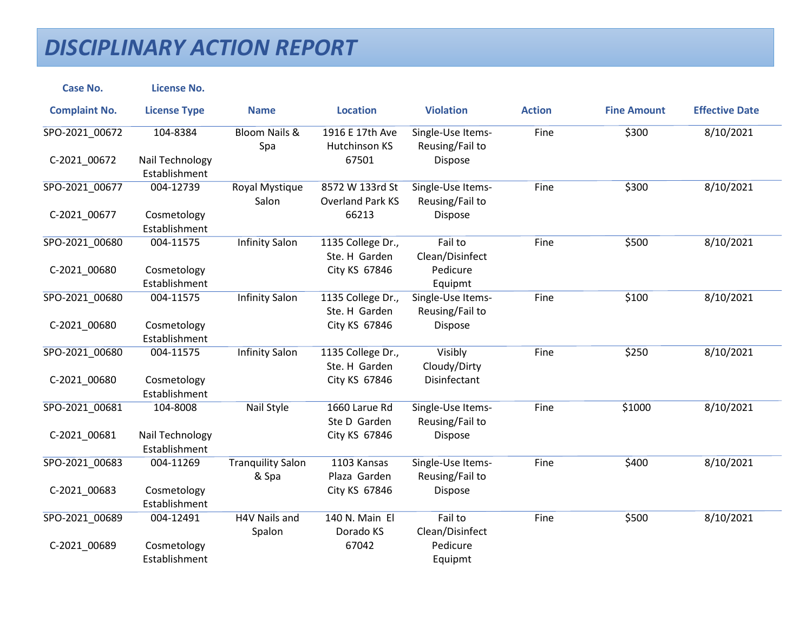| <b>Case No.</b>      | <b>License No.</b>               |                                   |                                            |                                      |               |                    |                       |
|----------------------|----------------------------------|-----------------------------------|--------------------------------------------|--------------------------------------|---------------|--------------------|-----------------------|
| <b>Complaint No.</b> | <b>License Type</b>              | <b>Name</b>                       | <b>Location</b>                            | <b>Violation</b>                     | <b>Action</b> | <b>Fine Amount</b> | <b>Effective Date</b> |
| SPO-2021_00672       | 104-8384                         | <b>Bloom Nails &amp;</b><br>Spa   | 1916 E 17th Ave<br>Hutchinson KS           | Single-Use Items-<br>Reusing/Fail to | Fine          | \$300              | 8/10/2021             |
| C-2021 00672         | Nail Technology<br>Establishment |                                   | 67501                                      | Dispose                              |               |                    |                       |
| SPO-2021 00677       | 004-12739                        | Royal Mystique<br>Salon           | 8572 W 133rd St<br><b>Overland Park KS</b> | Single-Use Items-<br>Reusing/Fail to | Fine          | \$300              | 8/10/2021             |
| C-2021_00677         | Cosmetology<br>Establishment     |                                   | 66213                                      | Dispose                              |               |                    |                       |
| SPO-2021_00680       | 004-11575                        | <b>Infinity Salon</b>             | 1135 College Dr.,<br>Ste. H Garden         | Fail to<br>Clean/Disinfect           | Fine          | \$500              | 8/10/2021             |
| C-2021_00680         | Cosmetology<br>Establishment     |                                   | City KS 67846                              | Pedicure<br>Equipmt                  |               |                    |                       |
| SPO-2021 00680       | 004-11575                        | <b>Infinity Salon</b>             | 1135 College Dr.,<br>Ste. H Garden         | Single-Use Items-<br>Reusing/Fail to | Fine          | \$100              | 8/10/2021             |
| C-2021_00680         | Cosmetology<br>Establishment     |                                   | City KS 67846                              | Dispose                              |               |                    |                       |
| SPO-2021_00680       | 004-11575                        | <b>Infinity Salon</b>             | 1135 College Dr.,<br>Ste. H Garden         | Visibly<br>Cloudy/Dirty              | Fine          | \$250              | 8/10/2021             |
| C-2021_00680         | Cosmetology<br>Establishment     |                                   | City KS 67846                              | Disinfectant                         |               |                    |                       |
| SPO-2021 00681       | 104-8008                         | Nail Style                        | 1660 Larue Rd<br>Ste D Garden              | Single-Use Items-<br>Reusing/Fail to | Fine          | \$1000             | 8/10/2021             |
| C-2021_00681         | Nail Technology<br>Establishment |                                   | City KS 67846                              | Dispose                              |               |                    |                       |
| SPO-2021 00683       | 004-11269                        | <b>Tranquility Salon</b><br>& Spa | 1103 Kansas<br>Plaza Garden                | Single-Use Items-<br>Reusing/Fail to | Fine          | \$400              | 8/10/2021             |
| C-2021_00683         | Cosmetology<br>Establishment     |                                   | City KS 67846                              | Dispose                              |               |                    |                       |
| SPO-2021 00689       | 004-12491                        | H4V Nails and<br>Spalon           | 140 N. Main El<br>Dorado KS                | Fail to<br>Clean/Disinfect           | Fine          | \$500              | 8/10/2021             |
| C-2021_00689         | Cosmetology<br>Establishment     |                                   | 67042                                      | Pedicure<br>Equipmt                  |               |                    |                       |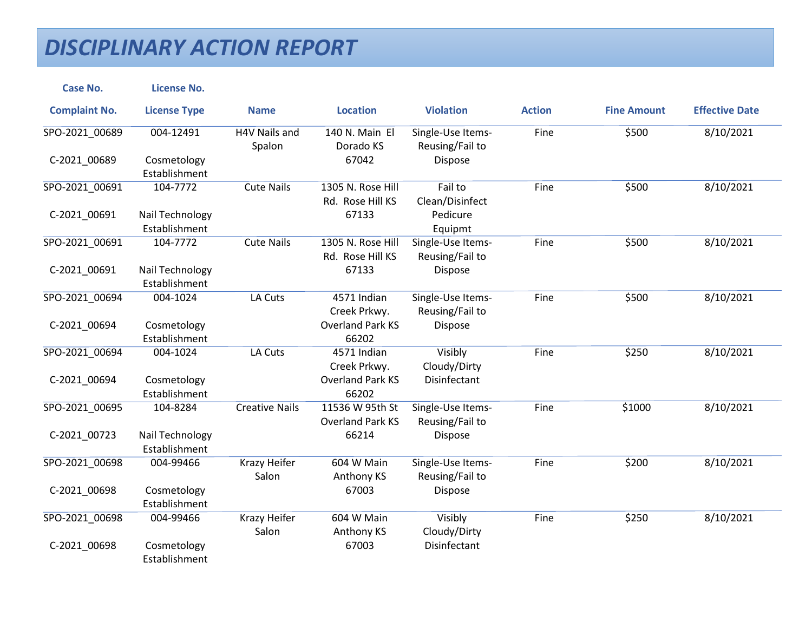| <b>Case No.</b>      | <b>License No.</b>               |                              |                                            |                                      |               |                    |                       |
|----------------------|----------------------------------|------------------------------|--------------------------------------------|--------------------------------------|---------------|--------------------|-----------------------|
| <b>Complaint No.</b> | <b>License Type</b>              | <b>Name</b>                  | <b>Location</b>                            | <b>Violation</b>                     | <b>Action</b> | <b>Fine Amount</b> | <b>Effective Date</b> |
| SPO-2021_00689       | 004-12491                        | H4V Nails and<br>Spalon      | 140 N. Main El<br>Dorado KS                | Single-Use Items-<br>Reusing/Fail to | Fine          | \$500              | 8/10/2021             |
| C-2021 00689         | Cosmetology<br>Establishment     |                              | 67042                                      | Dispose                              |               |                    |                       |
| SPO-2021_00691       | 104-7772                         | <b>Cute Nails</b>            | 1305 N. Rose Hill<br>Rd. Rose Hill KS      | Fail to<br>Clean/Disinfect           | Fine          | \$500              | 8/10/2021             |
| C-2021_00691         | Nail Technology<br>Establishment |                              | 67133                                      | Pedicure<br>Equipmt                  |               |                    |                       |
| SPO-2021_00691       | 104-7772                         | <b>Cute Nails</b>            | 1305 N. Rose Hill<br>Rd. Rose Hill KS      | Single-Use Items-<br>Reusing/Fail to | Fine          | \$500              | 8/10/2021             |
| C-2021_00691         | Nail Technology<br>Establishment |                              | 67133                                      | Dispose                              |               |                    |                       |
| SPO-2021 00694       | 004-1024                         | LA Cuts                      | 4571 Indian<br>Creek Prkwy.                | Single-Use Items-<br>Reusing/Fail to | Fine          | \$500              | 8/10/2021             |
| C-2021_00694         | Cosmetology<br>Establishment     |                              | <b>Overland Park KS</b><br>66202           | Dispose                              |               |                    |                       |
| SPO-2021 00694       | 004-1024                         | LA Cuts                      | 4571 Indian<br>Creek Prkwy.                | Visibly<br>Cloudy/Dirty              | Fine          | \$250              | 8/10/2021             |
| C-2021_00694         | Cosmetology<br>Establishment     |                              | <b>Overland Park KS</b><br>66202           | Disinfectant                         |               |                    |                       |
| SPO-2021 00695       | 104-8284                         | <b>Creative Nails</b>        | 11536 W 95th St<br><b>Overland Park KS</b> | Single-Use Items-<br>Reusing/Fail to | Fine          | \$1000             | 8/10/2021             |
| C-2021_00723         | Nail Technology<br>Establishment |                              | 66214                                      | Dispose                              |               |                    |                       |
| SPO-2021 00698       | 004-99466                        | Krazy Heifer<br>Salon        | 604 W Main<br>Anthony KS                   | Single-Use Items-<br>Reusing/Fail to | Fine          | \$200              | 8/10/2021             |
| C-2021_00698         | Cosmetology<br>Establishment     |                              | 67003                                      | Dispose                              |               |                    |                       |
| SPO-2021 00698       | 004-99466                        | <b>Krazy Heifer</b><br>Salon | 604 W Main<br>Anthony KS                   | Visibly<br>Cloudy/Dirty              | Fine          | \$250              | 8/10/2021             |
| C-2021_00698         | Cosmetology<br>Establishment     |                              | 67003                                      | Disinfectant                         |               |                    |                       |